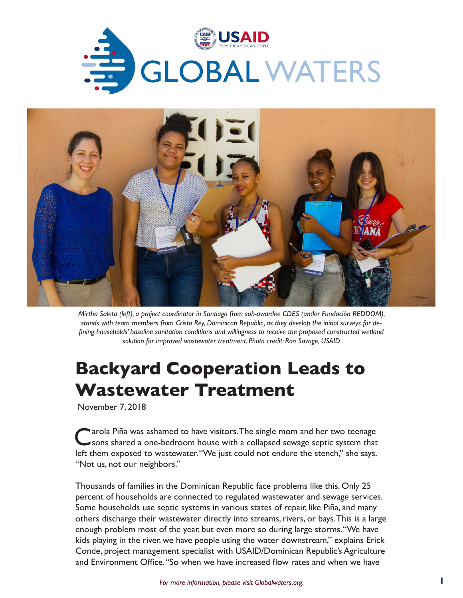



*Mirtha Saleta (left), a project coordinator in Santiago from sub-awardee CDES (under Fundación REDDOM), stands with team members from Cristo Rey, Dominican Republic, as they develop the initial surveys for defining households' baseline sanitation conditions and willingness to receive the proposed constructed wetland solution for improved wastewater treatment. Photo credit: Ron Savage, USAID*

## **Backyard Cooperation Leads to Wastewater Treatment**

November 7, 2018

Carola Piña was ashamed to have visitors. The single mom and her two teenage<br>
Sons shared a one-bedroom house with a collapsed sewage septic system that left them exposed to wastewater. "We just could not endure the stench," she says. "Not us, not our neighbors."

Thousands of families in the Dominican Republic face problems like this. Only 25 percent of households are connected to regulated wastewater and sewage services. Some households use septic systems in various states of repair, like Piña, and many others discharge their wastewater directly into streams, rivers, or bays. This is a large enough problem most of the year, but even more so during large storms. "We have kids playing in the river, we have people using the water downstream," explains Erick Conde, project management specialist with USAID/Dominican Republic's Agriculture and Environment Office. "So when we have increased flow rates and when we have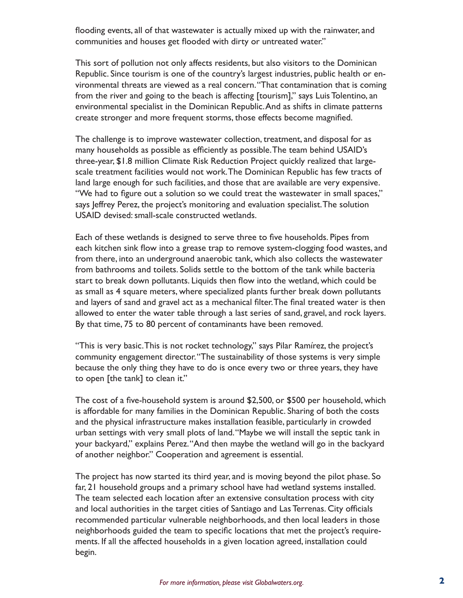flooding events, all of that wastewater is actually mixed up with the rainwater, and communities and houses get flooded with dirty or untreated water."

This sort of pollution not only affects residents, but also visitors to the Dominican Republic. Since tourism is one of the country's largest industries, public health or environmental threats are viewed as a real concern. "That contamination that is coming from the river and going to the beach is affecting [tourism]," says Luis Tolentino, an environmental specialist in the Dominican Republic. And as shifts in climate patterns create stronger and more frequent storms, those effects become magnified.

The challenge is to improve wastewater collection, treatment, and disposal for as many households as possible as efficiently as possible. The team behind USAID's three-year, \$1.8 million Climate Risk Reduction Project quickly realized that largescale treatment facilities would not work. The Dominican Republic has few tracts of land large enough for such facilities, and those that are available are very expensive. "We had to figure out a solution so we could treat the wastewater in small spaces," says Jeffrey Perez, the project's monitoring and evaluation specialist. The solution USAID devised: small-scale constructed wetlands.

Each of these wetlands is designed to serve three to five households. Pipes from each kitchen sink flow into a grease trap to remove system-clogging food wastes, and from there, into an underground anaerobic tank, which also collects the wastewater from bathrooms and toilets. Solids settle to the bottom of the tank while bacteria start to break down pollutants. Liquids then flow into the wetland, which could be as small as 4 square meters, where specialized plants further break down pollutants and layers of sand and gravel act as a mechanical filter. The final treated water is then allowed to enter the water table through a last series of sand, gravel, and rock layers. By that time, 75 to 80 percent of contaminants have been removed.

"This is very basic. This is not rocket technology," says Pilar Ramírez, the project's community engagement director. "The sustainability of those systems is very simple because the only thing they have to do is once every two or three years, they have to open [the tank] to clean it."

The cost of a five-household system is around \$2,500, or \$500 per household, which is affordable for many families in the Dominican Republic. Sharing of both the costs and the physical infrastructure makes installation feasible, particularly in crowded urban settings with very small plots of land. "Maybe we will install the septic tank in your backyard," explains Perez. "And then maybe the wetland will go in the backyard of another neighbor." Cooperation and agreement is essential.

The project has now started its third year, and is moving beyond the pilot phase. So far, 21 household groups and a primary school have had wetland systems installed. The team selected each location after an extensive consultation process with city and local authorities in the target cities of Santiago and Las Terrenas. City officials recommended particular vulnerable neighborhoods, and then local leaders in those neighborhoods guided the team to specific locations that met the project's requirements. If all the affected households in a given location agreed, installation could begin.